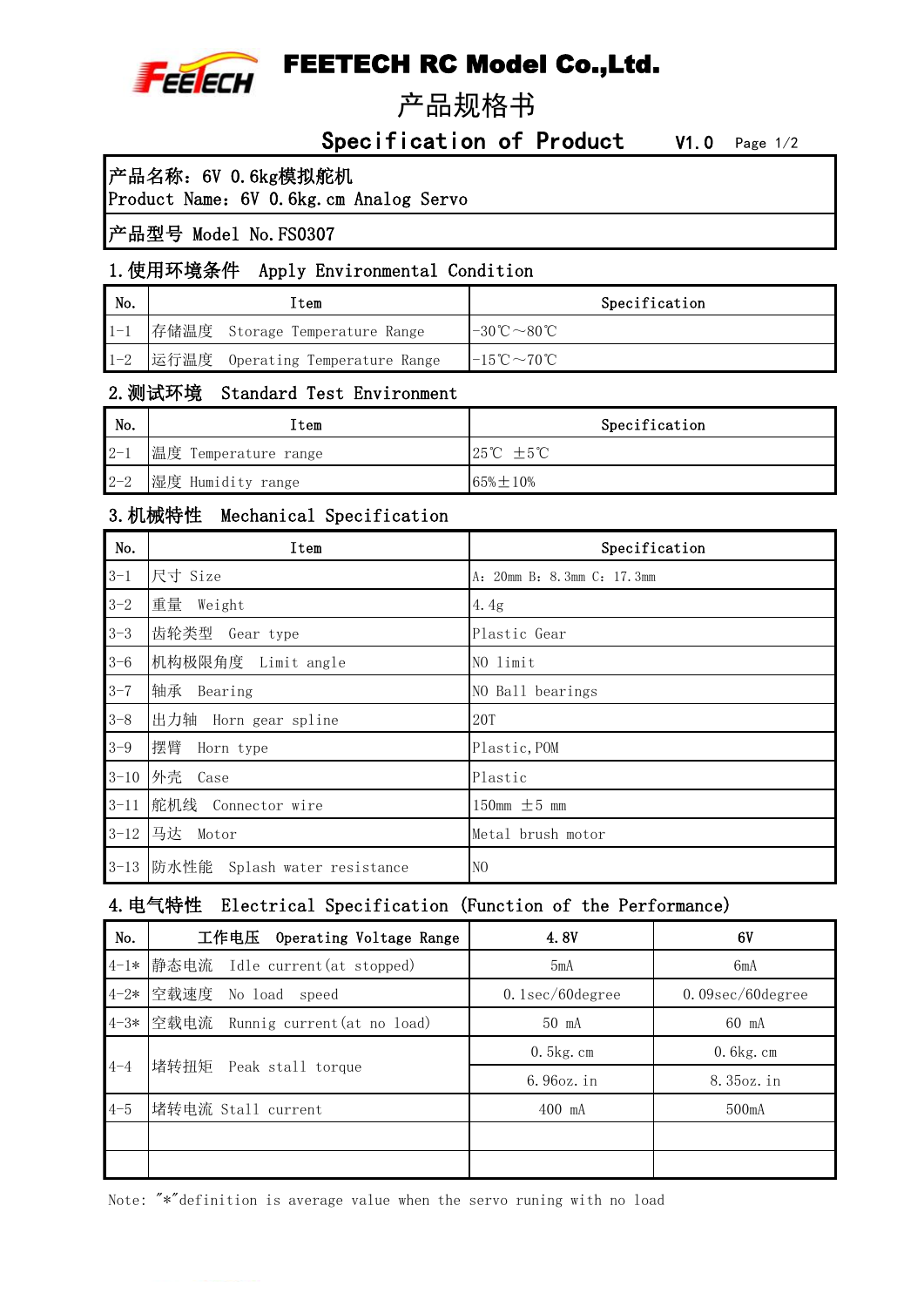

# FEETECH RC Model Co.,Ltd.

产品规格书

Specification of Product V1.0 Page 1/2

# 产品名称:6V 0.6kg模拟舵机

Product Name: 6V 0.6kg.cm Analog Servo

# 产品型号 Model No.FS0307

# 1.使用环境条件 Apply Environmental Condition

| No.     | ⊥tem                             | Specification                                 |
|---------|----------------------------------|-----------------------------------------------|
| $1 - 1$ | 存储温度 Storage Temperature Range   | $-30^{\circ}\text{C} \sim 80^{\circ}\text{C}$ |
| $1 - 2$ | 运行温度 Operating Temperature Range | $-15^{\circ}\text{C} \sim 70^{\circ}\text{C}$ |

# 2.测试环境 Standard Test Environment

| No.     | [tem                 | Specification                |
|---------|----------------------|------------------------------|
| $2 - 1$ | 温度 Temperature range | $25^{\circ}C \pm 5^{\circ}C$ |
| $2 - 2$ | 湿度 Humidity range    | $65\% + 10\%$                |

#### 3.机械特性 Mechanical Specification

| No.      | Item                         | Specification              |
|----------|------------------------------|----------------------------|
| $3 - 1$  | 尺寸 Size                      | A: 20mm B: 8.3mm C: 17.3mm |
| $3 - 2$  | 重量<br>Weight                 | 4.4g                       |
| $3 - 3$  | 齿轮类型 Gear type               | Plastic Gear               |
| $3 - 6$  | 机构极限角度 Limit angle           | NO limit                   |
| $3 - 7$  | 轴承<br>Bearing                | NO Ball bearings           |
| $3 - 8$  | 出力轴<br>Horn gear spline      | <b>20T</b>                 |
| $3 - 9$  | 摆臂<br>Horn type              | Plastic, POM               |
| $3 - 10$ | 外壳 Case                      | Plastic                    |
| $3 - 11$ | 舵机线<br>Connector wire        | 150mm $\pm$ 5 mm           |
| $3 - 12$ | 马达<br>Motor                  | Metal brush motor          |
| $3 - 13$ | 防水性能 Splash water resistance | N <sub>O</sub>             |

#### 4.电气特性 Electrical Specification (Function of the Performance)

| No.     | 工作电压<br>Operating Voltage Range      | 4.8V               | 6V                      |
|---------|--------------------------------------|--------------------|-------------------------|
|         | 4-1* 静态电流 Idle current(at stopped)   | 5mA                | 6mA                     |
|         | 4-2* 空载速度<br>No load speed           | $0.1$ sec/60degree | $0.09$ sec/ $60$ degree |
|         | 4-3* 空载电流 Runnig current(at no load) | 50 mA              | 60 mA                   |
|         |                                      | $0.5$ kg.cm        | $0.6$ kg.cm             |
| $4 - 4$ | 堵转扭矩<br>Peak stall torque            | 6.96oz.in          | 8.35oz.in               |
| $4 - 5$ | 堵转电流 Stall current                   | $400$ mA           | $500m$ A                |
|         |                                      |                    |                         |
|         |                                      |                    |                         |

Note: "\*"definition is average value when the servo runing with no load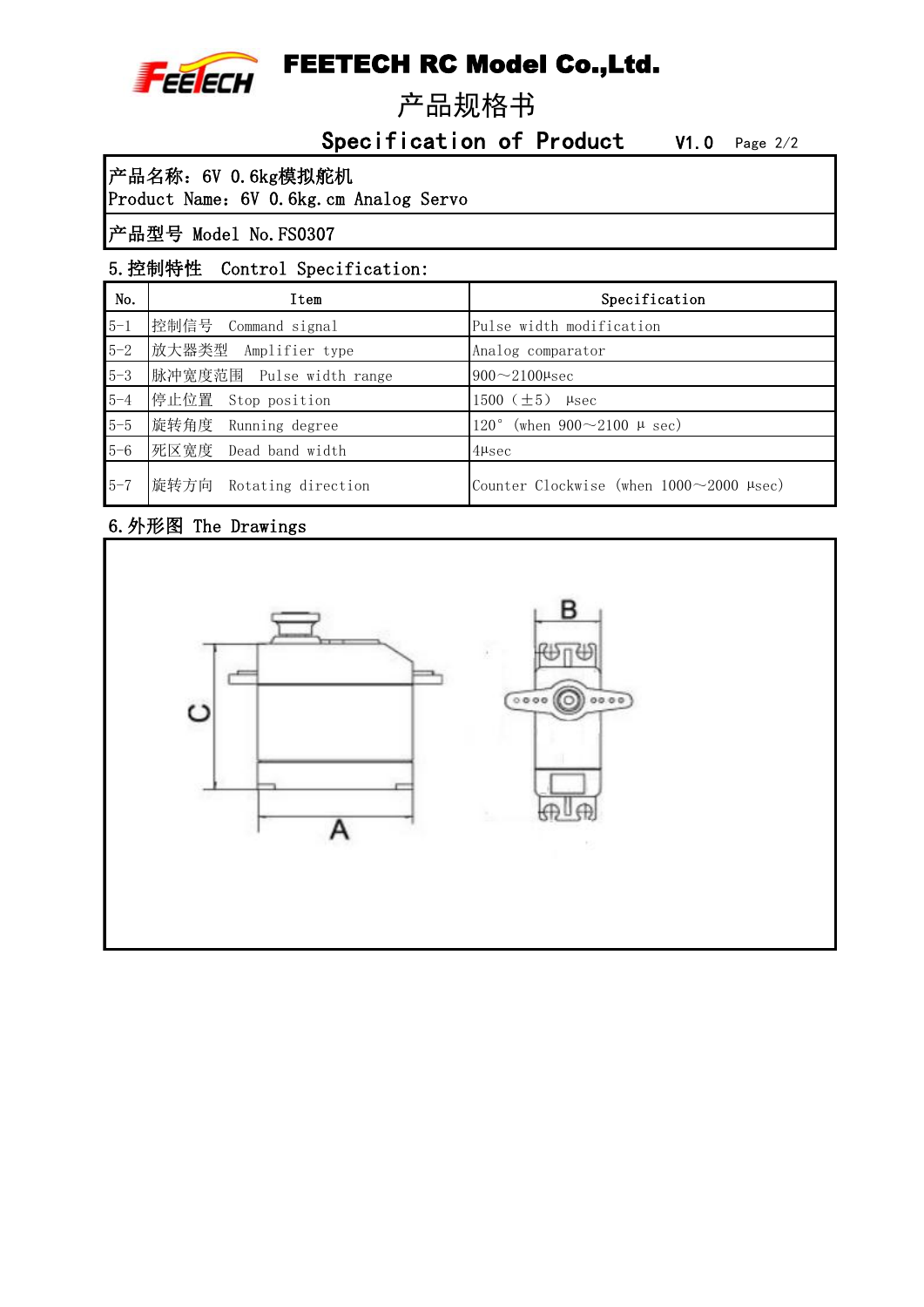

# FEETECH RC Model Co.,Ltd.

产品规格书

Specification of Product V1.0 Page 2/2

产品名称:6V 0.6kg模拟舵机

Product Name:6V 0.6kg.cm Analog Servo

# 产品型号 Model No.FS0307

# 5.控制特性 Control Specification:

| No.     | Item                       | Specification                                            |
|---------|----------------------------|----------------------------------------------------------|
| $5 - 1$ | 控制信号<br>Command signal     | Pulse width modification                                 |
| $5 - 2$ | 放大器类型<br>Amplifier type    | Analog comparator                                        |
| $5 - 3$ | 脉冲宽度范围 Pulse width range   | $900 \sim 2100$ µsec                                     |
| $5 - 4$ | 停止位置<br>Stop position      | 1500 $(\pm 5)$<br>$\mu$ sec                              |
| $5 - 5$ | 旋转角度<br>Running degree     | (when $900 \sim 2100 \mu \text{ sec}$ )<br>$120^{\circ}$ |
| $5 - 6$ | 死区宽度<br>Dead band width    | $4\mu$ sec                                               |
| $5 - 7$ | 旋转方向<br>Rotating direction | Counter Clockwise (when $1000 \sim 2000$ $\mu$ sec)      |

# 6.外形图 The Drawings